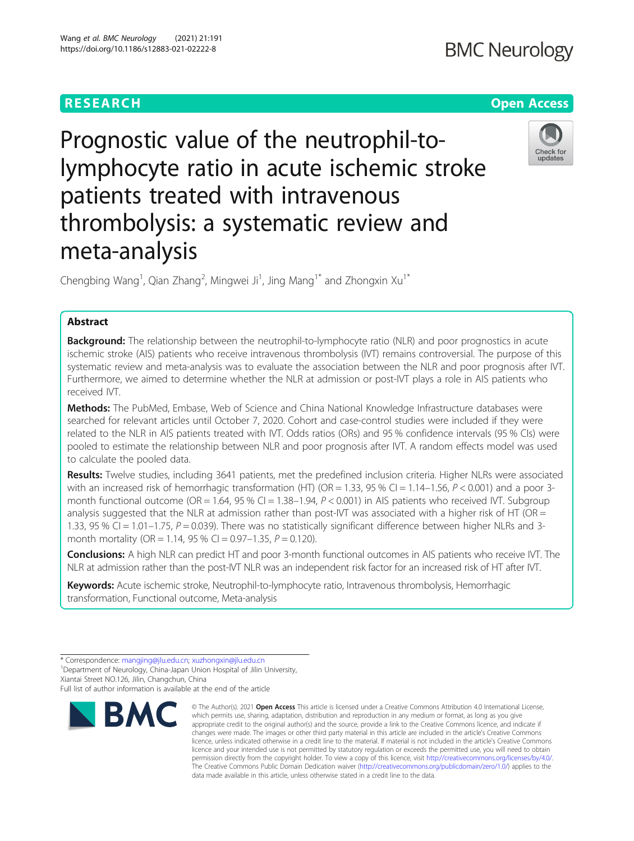# **RESEARCH CHEAR CHEAR CHEAR CHEAR CHEAR CHEAP CONTROL** Prognostic value of the neutrophil-tolymphocyte ratio in acute ischemic stroke patients treated with intravenous thrombolysis: a systematic review and

Chengbing Wang<sup>1</sup>, Qian Zhang<sup>2</sup>, Mingwei Ji<sup>1</sup>, Jing Mang<sup>1\*</sup> and Zhongxin Xu<sup>1\*</sup>

# Abstract

Background: The relationship between the neutrophil-to-lymphocyte ratio (NLR) and poor prognostics in acute ischemic stroke (AIS) patients who receive intravenous thrombolysis (IVT) remains controversial. The purpose of this systematic review and meta-analysis was to evaluate the association between the NLR and poor prognosis after IVT. Furthermore, we aimed to determine whether the NLR at admission or post-IVT plays a role in AIS patients who received IVT.

Methods: The PubMed, Embase, Web of Science and China National Knowledge Infrastructure databases were searched for relevant articles until October 7, 2020. Cohort and case-control studies were included if they were related to the NLR in AIS patients treated with IVT. Odds ratios (ORs) and 95 % confidence intervals (95 % CIs) were pooled to estimate the relationship between NLR and poor prognosis after IVT. A random effects model was used to calculate the pooled data.

Results: Twelve studies, including 3641 patients, met the predefined inclusion criteria. Higher NLRs were associated with an increased risk of hemorrhagic transformation (HT) (OR = 1.33, 95 % CI = 1.14–1.56,  $P < 0.001$ ) and a poor 3month functional outcome (OR = 1.64, 95 % CI = 1.38–1.94,  $P < 0.001$ ) in AIS patients who received IVT. Subgroup analysis suggested that the NLR at admission rather than post-IVT was associated with a higher risk of HT (OR  $=$ 1.33, 95 % CI = 1.01–1.75,  $P = 0.039$ ). There was no statistically significant difference between higher NLRs and 3month mortality (OR = 1.14, 95 % CI = 0.97-1.35,  $P = 0.120$ ).

Conclusions: A high NLR can predict HT and poor 3-month functional outcomes in AIS patients who receive IVT. The NLR at admission rather than the post-IVT NLR was an independent risk factor for an increased risk of HT after IVT.

Keywords: Acute ischemic stroke, Neutrophil-to-lymphocyte ratio, Intravenous thrombolysis, Hemorrhagic transformation, Functional outcome, Meta-analysis

<sup>1</sup> Department of Neurology, China-Japan Union Hospital of Jilin University, Xiantai Street NO.126, Jilin, Changchun, China

Full list of author information is available at the end of the article

meta-analysis





<sup>\*</sup> Correspondence: [mangjing@jlu.edu.cn;](mailto:mangjing@jlu.edu.cn) [xuzhongxin@jlu.edu.cn](mailto:xuzhongxin@jlu.edu.cn) <sup>1</sup>

<sup>©</sup> The Author(s), 2021 **Open Access** This article is licensed under a Creative Commons Attribution 4.0 International License, which permits use, sharing, adaptation, distribution and reproduction in any medium or format, as long as you give appropriate credit to the original author(s) and the source, provide a link to the Creative Commons licence, and indicate if changes were made. The images or other third party material in this article are included in the article's Creative Commons licence, unless indicated otherwise in a credit line to the material. If material is not included in the article's Creative Commons licence and your intended use is not permitted by statutory regulation or exceeds the permitted use, you will need to obtain permission directly from the copyright holder. To view a copy of this licence, visit [http://creativecommons.org/licenses/by/4.0/.](http://creativecommons.org/licenses/by/4.0/) The Creative Commons Public Domain Dedication waiver [\(http://creativecommons.org/publicdomain/zero/1.0/](http://creativecommons.org/publicdomain/zero/1.0/)) applies to the data made available in this article, unless otherwise stated in a credit line to the data.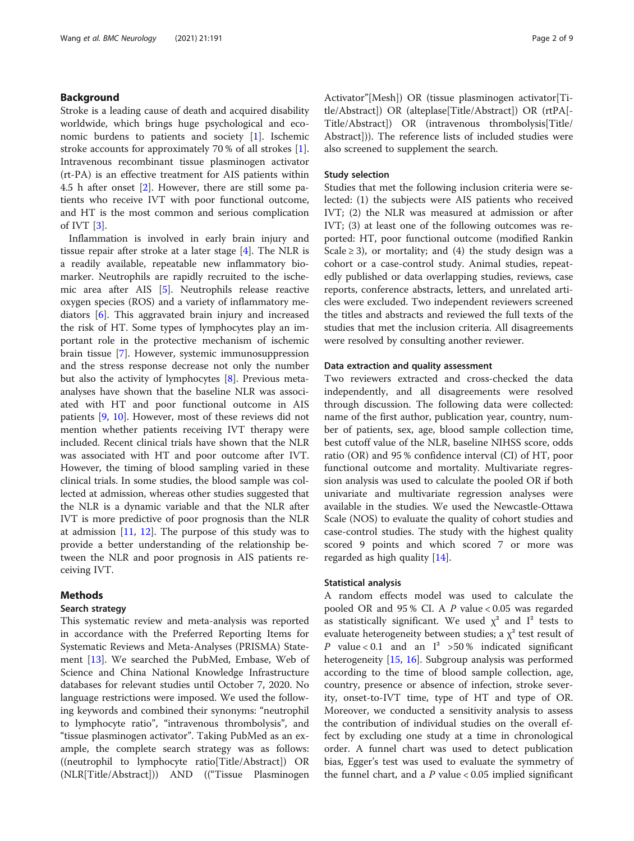# Background

Stroke is a leading cause of death and acquired disability worldwide, which brings huge psychological and economic burdens to patients and society [[1\]](#page-7-0). Ischemic stroke accounts for approximately 70 % of all strokes [\[1](#page-7-0)]. Intravenous recombinant tissue plasminogen activator (rt-PA) is an effective treatment for AIS patients within 4.5 h after onset [\[2](#page-7-0)]. However, there are still some patients who receive IVT with poor functional outcome, and HT is the most common and serious complication of IVT [\[3](#page-7-0)].

Inflammation is involved in early brain injury and tissue repair after stroke at a later stage [\[4](#page-7-0)]. The NLR is a readily available, repeatable new inflammatory biomarker. Neutrophils are rapidly recruited to the ischemic area after AIS [[5](#page-7-0)]. Neutrophils release reactive oxygen species (ROS) and a variety of inflammatory mediators [\[6](#page-7-0)]. This aggravated brain injury and increased the risk of HT. Some types of lymphocytes play an important role in the protective mechanism of ischemic brain tissue [\[7\]](#page-7-0). However, systemic immunosuppression and the stress response decrease not only the number but also the activity of lymphocytes [[8\]](#page-7-0). Previous metaanalyses have shown that the baseline NLR was associated with HT and poor functional outcome in AIS patients [\[9](#page-7-0), [10\]](#page-7-0). However, most of these reviews did not mention whether patients receiving IVT therapy were included. Recent clinical trials have shown that the NLR was associated with HT and poor outcome after IVT. However, the timing of blood sampling varied in these clinical trials. In some studies, the blood sample was collected at admission, whereas other studies suggested that the NLR is a dynamic variable and that the NLR after IVT is more predictive of poor prognosis than the NLR at admission [\[11,](#page-7-0) [12\]](#page-7-0). The purpose of this study was to provide a better understanding of the relationship between the NLR and poor prognosis in AIS patients receiving IVT.

# Methods

# Search strategy

This systematic review and meta-analysis was reported in accordance with the Preferred Reporting Items for Systematic Reviews and Meta-Analyses (PRISMA) Statement [\[13](#page-7-0)]. We searched the PubMed, Embase, Web of Science and China National Knowledge Infrastructure databases for relevant studies until October 7, 2020. No language restrictions were imposed. We used the following keywords and combined their synonyms: "neutrophil to lymphocyte ratio", "intravenous thrombolysis", and "tissue plasminogen activator". Taking PubMed as an example, the complete search strategy was as follows: ((neutrophil to lymphocyte ratio[Title/Abstract]) OR (NLR[Title/Abstract])) AND (("Tissue Plasminogen Activator"[Mesh]) OR (tissue plasminogen activator[Title/Abstract]) OR (alteplase[Title/Abstract]) OR (rtPA[- Title/Abstract]) OR (intravenous thrombolysis[Title/ Abstract])). The reference lists of included studies were also screened to supplement the search.

## Study selection

Studies that met the following inclusion criteria were selected: (1) the subjects were AIS patients who received IVT; (2) the NLR was measured at admission or after IVT; (3) at least one of the following outcomes was reported: HT, poor functional outcome (modified Rankin Scale  $\geq$  3), or mortality; and (4) the study design was a cohort or a case-control study. Animal studies, repeatedly published or data overlapping studies, reviews, case reports, conference abstracts, letters, and unrelated articles were excluded. Two independent reviewers screened the titles and abstracts and reviewed the full texts of the studies that met the inclusion criteria. All disagreements were resolved by consulting another reviewer.

#### Data extraction and quality assessment

Two reviewers extracted and cross-checked the data independently, and all disagreements were resolved through discussion. The following data were collected: name of the first author, publication year, country, number of patients, sex, age, blood sample collection time, best cutoff value of the NLR, baseline NIHSS score, odds ratio (OR) and 95 % confidence interval (CI) of HT, poor functional outcome and mortality. Multivariate regression analysis was used to calculate the pooled OR if both univariate and multivariate regression analyses were available in the studies. We used the Newcastle-Ottawa Scale (NOS) to evaluate the quality of cohort studies and case-control studies. The study with the highest quality scored 9 points and which scored 7 or more was regarded as high quality [\[14\]](#page-7-0).

## Statistical analysis

A random effects model was used to calculate the pooled OR and 95 % CI. A P value < 0.05 was regarded as statistically significant. We used  $\chi^2$  and  $I^2$  tests to evaluate heterogeneity between studies; a  $\chi^2$  test result of P value < 0.1 and an  $I^2$  > 50 % indicated significant heterogeneity [\[15](#page-7-0), [16](#page-7-0)]. Subgroup analysis was performed according to the time of blood sample collection, age, country, presence or absence of infection, stroke severity, onset-to-IVT time, type of HT and type of OR. Moreover, we conducted a sensitivity analysis to assess the contribution of individual studies on the overall effect by excluding one study at a time in chronological order. A funnel chart was used to detect publication bias, Egger's test was used to evaluate the symmetry of the funnel chart, and a  $P$  value < 0.05 implied significant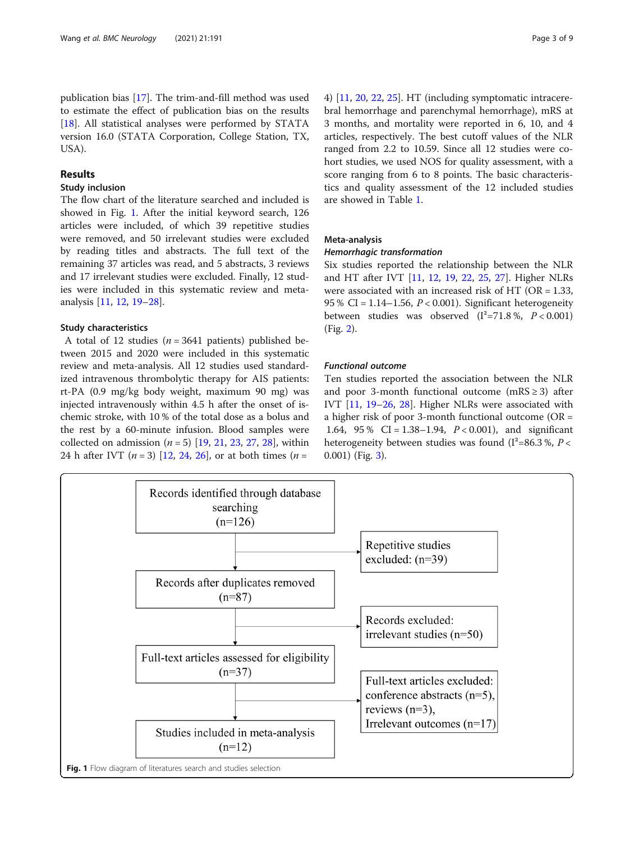# Results

USA).

#### Study inclusion

The flow chart of the literature searched and included is showed in Fig. 1. After the initial keyword search, 126 articles were included, of which 39 repetitive studies were removed, and 50 irrelevant studies were excluded by reading titles and abstracts. The full text of the remaining 37 articles was read, and 5 abstracts, 3 reviews and 17 irrelevant studies were excluded. Finally, 12 studies were included in this systematic review and metaanalysis [\[11,](#page-7-0) [12,](#page-7-0) [19](#page-7-0)–[28](#page-7-0)].

### Study characteristics

A total of 12 studies ( $n = 3641$  patients) published between 2015 and 2020 were included in this systematic review and meta-analysis. All 12 studies used standardized intravenous thrombolytic therapy for AIS patients: rt-PA (0.9 mg/kg body weight, maximum 90 mg) was injected intravenously within 4.5 h after the onset of ischemic stroke, with 10 % of the total dose as a bolus and the rest by a 60-minute infusion. Blood samples were collected on admission  $(n = 5)$  [\[19,](#page-7-0) [21](#page-7-0), [23](#page-7-0), [27](#page-7-0), [28](#page-7-0)], within [24](#page-7-0) h after IVT  $(n = 3)$  [[12,](#page-7-0) 24, [26](#page-7-0)], or at both times  $(n = 1)$ 

4) [[11,](#page-7-0) [20,](#page-7-0) [22,](#page-7-0) [25\]](#page-7-0). HT (including symptomatic intracerebral hemorrhage and parenchymal hemorrhage), mRS at 3 months, and mortality were reported in 6, 10, and 4 articles, respectively. The best cutoff values of the NLR ranged from 2.2 to 10.59. Since all 12 studies were cohort studies, we used NOS for quality assessment, with a score ranging from 6 to 8 points. The basic characteristics and quality assessment of the 12 included studies are showed in Table [1.](#page-3-0)

#### Meta-analysis

Six studies reported the relationship between the NLR and HT after IVT [[11,](#page-7-0) [12](#page-7-0), [19,](#page-7-0) [22,](#page-7-0) [25](#page-7-0), [27\]](#page-7-0). Higher NLRs were associated with an increased risk of HT ( $OR = 1.33$ , 95 % CI = 1.14–1.56, P < 0.001). Significant heterogeneity between studies was observed  $(I^2=71.8\%, P<0.001)$ (Fig. [2](#page-3-0)).

# **Functional outcome**

Ten studies reported the association between the NLR and poor 3-month functional outcome (mRS  $\geq$  3) after IVT [\[11](#page-7-0), [19](#page-7-0)–[26](#page-7-0), [28](#page-7-0)]. Higher NLRs were associated with a higher risk of poor 3-month functional outcome (OR = 1.64, 95 % CI = 1.38–1.94,  $P < 0.001$ ), and significant heterogeneity between studies was found  $(I^2=86.3\% , P<$ 0.001) (Fig. [3](#page-4-0)).

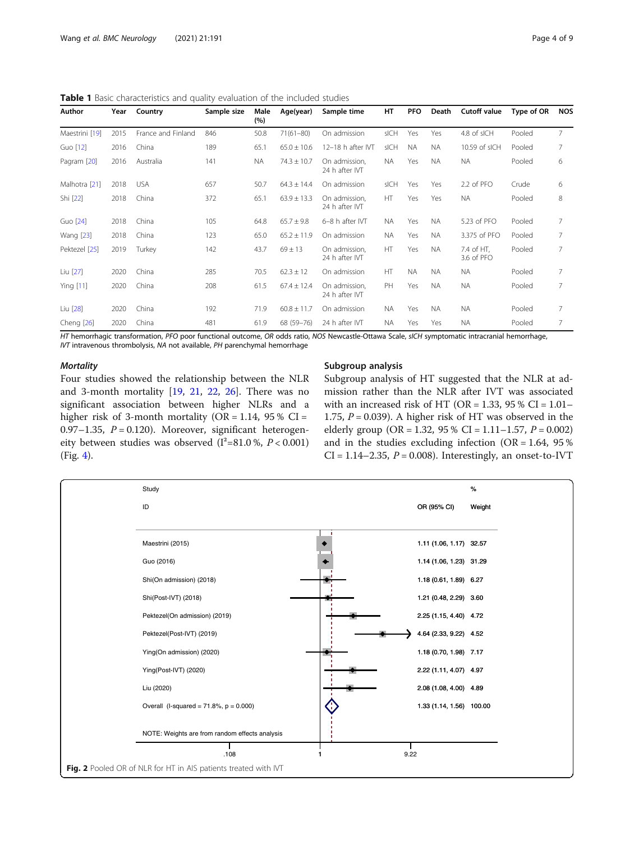<span id="page-3-0"></span>Table 1 Basic characteristics and quality evaluation of the included studies

| Author         | Year | Country            | Sample size | Male<br>(%) | Age(year)       | Sample time                     | HT        | <b>PFO</b> | Death     | <b>Cutoff value</b>      | Type of OR | <b>NOS</b> |
|----------------|------|--------------------|-------------|-------------|-----------------|---------------------------------|-----------|------------|-----------|--------------------------|------------|------------|
| Maestrini [19] | 2015 | France and Finland | 846         | 50.8        | $71(61 - 80)$   | On admission                    | sICH      | Yes        | Yes       | 4.8 of sICH              | Pooled     | 7          |
| Guo [12]       | 2016 | China              | 189         | 65.1        | $65.0 \pm 10.6$ | 12-18 h after IVT               | sICH      | <b>NA</b>  | <b>NA</b> | 10.59 of sICH            | Pooled     | 7          |
| Pagram [20]    | 2016 | Australia          | 141         | <b>NA</b>   | $74.3 \pm 10.7$ | On admission,<br>24 h after IVT | <b>NA</b> | Yes        | <b>NA</b> | <b>NA</b>                | Pooled     | 6          |
| Malhotra [21]  | 2018 | <b>USA</b>         | 657         | 50.7        | $64.3 \pm 14.4$ | On admission                    | sICH      | Yes        | Yes       | 2.2 of PFO               | Crude      | 6          |
| Shi [22]       | 2018 | China              | 372         | 65.1        | $63.9 \pm 13.3$ | On admission,<br>24 h after IVT | HT        | Yes        | Yes       | <b>NA</b>                | Pooled     | 8          |
| Guo [24]       | 2018 | China              | 105         | 64.8        | $65.7 \pm 9.8$  | 6-8 h after IVT                 | <b>NA</b> | Yes        | <b>NA</b> | 5.23 of PFO              | Pooled     | 7          |
| Wang [23]      | 2018 | China              | 123         | 65.0        | $65.2 \pm 11.9$ | On admission                    | <b>NA</b> | Yes        | <b>NA</b> | 3.375 of PFO             | Pooled     | 7          |
| Pektezel [25]  | 2019 | Turkey             | 142         | 43.7        | $69 \pm 13$     | On admission,<br>24 h after IVT | HT        | Yes        | <b>NA</b> | 7.4 of HT,<br>3.6 of PFO | Pooled     | 7          |
| Liu [27]       | 2020 | China              | 285         | 70.5        | $62.3 \pm 12$   | On admission                    | HT        | <b>NA</b>  | <b>NA</b> | <b>NA</b>                | Pooled     | 7          |
| Ying [11]      | 2020 | China              | 208         | 61.5        | $67.4 \pm 12.4$ | On admission,<br>24 h after IVT | PH        | Yes        | <b>NA</b> | <b>NA</b>                | Pooled     | 7          |
| Liu [28]       | 2020 | China              | 192         | 71.9        | $60.8 \pm 11.7$ | On admission                    | <b>NA</b> | Yes        | <b>NA</b> | <b>NA</b>                | Pooled     |            |
| Cheng $[26]$   | 2020 | China              | 481         | 61.9        | 68 (59-76)      | 24 h after IVT                  | <b>NA</b> | Yes        | Yes       | <b>NA</b>                | Pooled     | 7          |

HT hemorrhagic transformation, PFO poor functional outcome, OR odds ratio, NOS Newcastle-Ottawa Scale, sICH symptomatic intracranial hemorrhage, IVT intravenous thrombolysis, NA not available, PH parenchymal hemorrhage

Four studies showed the relationship between the NLR and 3-month mortality [[19,](#page-7-0) [21](#page-7-0), [22,](#page-7-0) [26](#page-7-0)]. There was no significant association between higher NLRs and a higher risk of 3-month mortality ( $OR = 1.14$ , 95 %  $CI =$ 0.97–1.35,  $P = 0.120$ ). Moreover, significant heterogeneity between studies was observed  $(I^2=81.0\% , P < 0.001)$ (Fig. [4](#page-4-0)).

#### Subgroup analysis

Subgroup analysis of HT suggested that the NLR at admission rather than the NLR after IVT was associated with an increased risk of HT (OR =  $1.33$ ,  $95\%$  CI =  $1.01-$ 1.75,  $P = 0.039$ ). A higher risk of HT was observed in the elderly group (OR = 1.32, 95 % CI = 1.11–1.57,  $P = 0.002$ ) and in the studies excluding infection ( $OR = 1.64$ , 95%)  $CI = 1.14 - 2.35$ ,  $P = 0.008$ ). Interestingly, an onset-to-IVT

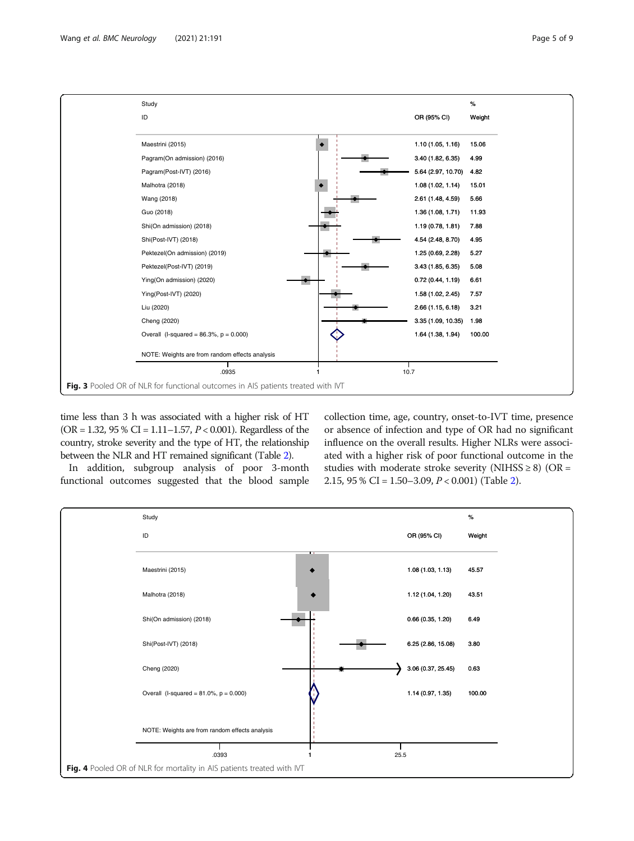<span id="page-4-0"></span>

time less than 3 h was associated with a higher risk of HT (OR = 1.32, 95 % CI = 1.11–1.57,  $P < 0.001$ ). Regardless of the country, stroke severity and the type of HT, the relationship between the NLR and HT remained significant (Table [2](#page-5-0)).

In addition, subgroup analysis of poor 3-month functional outcomes suggested that the blood sample collection time, age, country, onset-to-IVT time, presence or absence of infection and type of OR had no significant influence on the overall results. Higher NLRs were associated with a higher risk of poor functional outcome in the studies with moderate stroke severity (NIHSS  $\geq$  8) (OR = [2](#page-5-0).15, 95 % CI =  $1.50-3.09$ ,  $P < 0.001$ ) (Table 2).

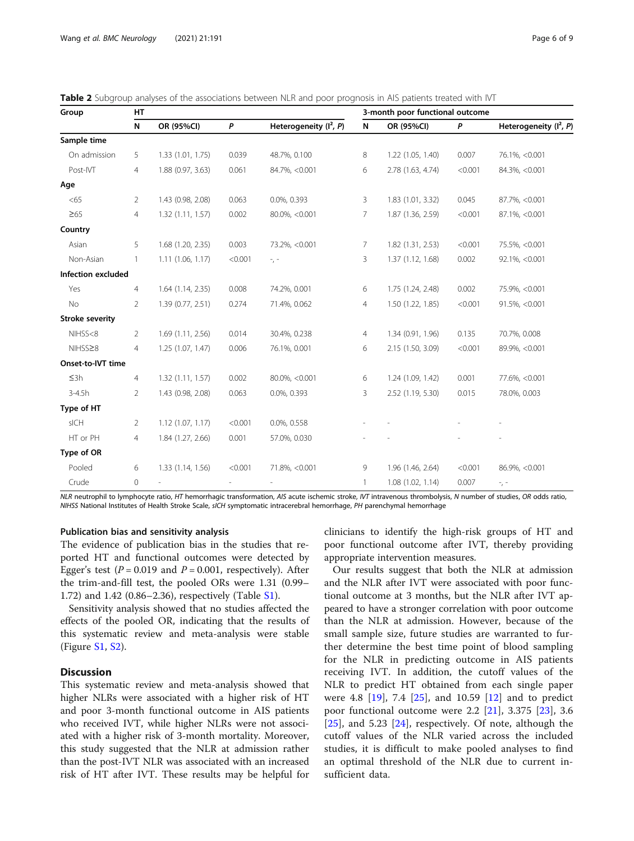| Group                  | HT             |                     |         |                                    |   | 3-month poor functional outcome |         |                          |
|------------------------|----------------|---------------------|---------|------------------------------------|---|---------------------------------|---------|--------------------------|
|                        | N              | OR (95%CI)          | P       | Heterogeneity (I <sup>2</sup> , P) | N | OR (95%CI)                      | P       | Heterogeneity $(I^2, P)$ |
| Sample time            |                |                     |         |                                    |   |                                 |         |                          |
| On admission           | 5              | 1.33(1.01, 1.75)    | 0.039   | 48.7%, 0.100                       | 8 | 1.22 (1.05, 1.40)               | 0.007   | 76.1%, <0.001            |
| Post-IVT               | $\overline{4}$ | 1.88 (0.97, 3.63)   | 0.061   | 84.7%, <0.001                      | 6 | 2.78 (1.63, 4.74)               | < 0.001 | 84.3%, <0.001            |
| Age                    |                |                     |         |                                    |   |                                 |         |                          |
| <65                    | $\overline{2}$ | 1.43 (0.98, 2.08)   | 0.063   | 0.0%, 0.393                        | 3 | 1.83 (1.01, 3.32)               | 0.045   | 87.7%, <0.001            |
| $\geq 65$              | $\overline{4}$ | 1.32(1.11, 1.57)    | 0.002   | 80.0%, <0.001                      | 7 | 1.87 (1.36, 2.59)               | < 0.001 | 87.1%, <0.001            |
| Country                |                |                     |         |                                    |   |                                 |         |                          |
| Asian                  | 5              | 1.68 (1.20, 2.35)   | 0.003   | 73.2%, <0.001                      | 7 | 1.82 (1.31, 2.53)               | < 0.001 | 75.5%, <0.001            |
| Non-Asian              |                | 1.11(1.06, 1.17)    | < 0.001 | $\sim$ , $\sim$                    | 3 | 1.37 (1.12, 1.68)               | 0.002   | 92.1%, <0.001            |
| Infection excluded     |                |                     |         |                                    |   |                                 |         |                          |
| Yes                    | $\overline{4}$ | $1.64$ (1.14, 2.35) | 0.008   | 74.2%, 0.001                       | 6 | 1.75 (1.24, 2.48)               | 0.002   | 75.9%, <0.001            |
| No                     | $\overline{2}$ | 1.39(0.77, 2.51)    | 0.274   | 71.4%, 0.062                       | 4 | 1.50 (1.22, 1.85)               | < 0.001 | 91.5%, <0.001            |
| <b>Stroke severity</b> |                |                     |         |                                    |   |                                 |         |                          |
| NIHSS<8                | $\overline{2}$ | 1.69(1.11, 2.56)    | 0.014   | 30.4%, 0.238                       | 4 | 1.34 (0.91, 1.96)               | 0.135   | 70.7%, 0.008             |
| NIHSS≥8                | 4              | 1.25(1.07, 1.47)    | 0.006   | 76.1%, 0.001                       | 6 | 2.15 (1.50, 3.09)               | < 0.001 | 89.9%, < 0.001           |
| Onset-to-IVT time      |                |                     |         |                                    |   |                                 |         |                          |
| $\leq$ 3h              | $\overline{4}$ | 1.32(1.11, 1.57)    | 0.002   | 80.0%, <0.001                      | 6 | 1.24(1.09, 1.42)                | 0.001   | 77.6%, < 0.001           |
| $3 - 4.5h$             | $\overline{2}$ | 1.43 (0.98, 2.08)   | 0.063   | 0.0%, 0.393                        | 3 | 2.52 (1.19, 5.30)               | 0.015   | 78.0%, 0.003             |
| Type of HT             |                |                     |         |                                    |   |                                 |         |                          |
| sICH                   | 2              | 1.12(1.07, 1.17)    | < 0.001 | 0.0%, 0.558                        |   |                                 |         |                          |
| HT or PH               | 4              | 1.84 (1.27, 2.66)   | 0.001   | 57.0%, 0.030                       |   |                                 |         |                          |
| Type of OR             |                |                     |         |                                    |   |                                 |         |                          |
|                        |                |                     |         |                                    |   |                                 |         |                          |

<span id="page-5-0"></span>Table 2 Subgroup analyses of the associations between NLR and poor prognosis in AIS patients treated with IVT

NLR neutrophil to lymphocyte ratio, HT hemorrhagic transformation, AIS acute ischemic stroke, IVT intravenous thrombolysis, N number of studies, OR odds ratio, NIHSS National Institutes of Health Stroke Scale, sICH symptomatic intracerebral hemorrhage, PH parenchymal hemorrhage

Pooled 6 1.33 (1.14, 1.56) <0.001 71.8%, <0.001 9 1.96 (1.46, 2.64) <0.001 86.9%, <0.001

Crude 0 - - - - - 1 1.08 (1.02, 1.14) 0.007 -

# Publication bias and sensitivity analysis

The evidence of publication bias in the studies that reported HT and functional outcomes were detected by Egger's test ( $P = 0.019$  and  $P = 0.001$ , respectively). After the trim-and-fill test, the pooled ORs were 1.31 (0.99– 1.72) and 1.42 (0.86–2.36), respectively (Table [S1](#page-6-0)).

Sensitivity analysis showed that no studies affected the effects of the pooled OR, indicating that the results of this systematic review and meta-analysis were stable (Figure [S1](#page-6-0), [S2](#page-6-0)).

# **Discussion**

This systematic review and meta-analysis showed that higher NLRs were associated with a higher risk of HT and poor 3-month functional outcome in AIS patients who received IVT, while higher NLRs were not associated with a higher risk of 3-month mortality. Moreover, this study suggested that the NLR at admission rather than the post-IVT NLR was associated with an increased risk of HT after IVT. These results may be helpful for clinicians to identify the high-risk groups of HT and poor functional outcome after IVT, thereby providing appropriate intervention measures.

Our results suggest that both the NLR at admission and the NLR after IVT were associated with poor functional outcome at 3 months, but the NLR after IVT appeared to have a stronger correlation with poor outcome than the NLR at admission. However, because of the small sample size, future studies are warranted to further determine the best time point of blood sampling for the NLR in predicting outcome in AIS patients receiving IVT. In addition, the cutoff values of the NLR to predict HT obtained from each single paper were 4.8 [[19\]](#page-7-0), 7.4 [[25\]](#page-7-0), and 10.59 [[12\]](#page-7-0) and to predict poor functional outcome were 2.2 [[21\]](#page-7-0), 3.375 [[23\]](#page-7-0), 3.6 [[25\]](#page-7-0), and 5.23 [\[24](#page-7-0)], respectively. Of note, although the cutoff values of the NLR varied across the included studies, it is difficult to make pooled analyses to find an optimal threshold of the NLR due to current insufficient data.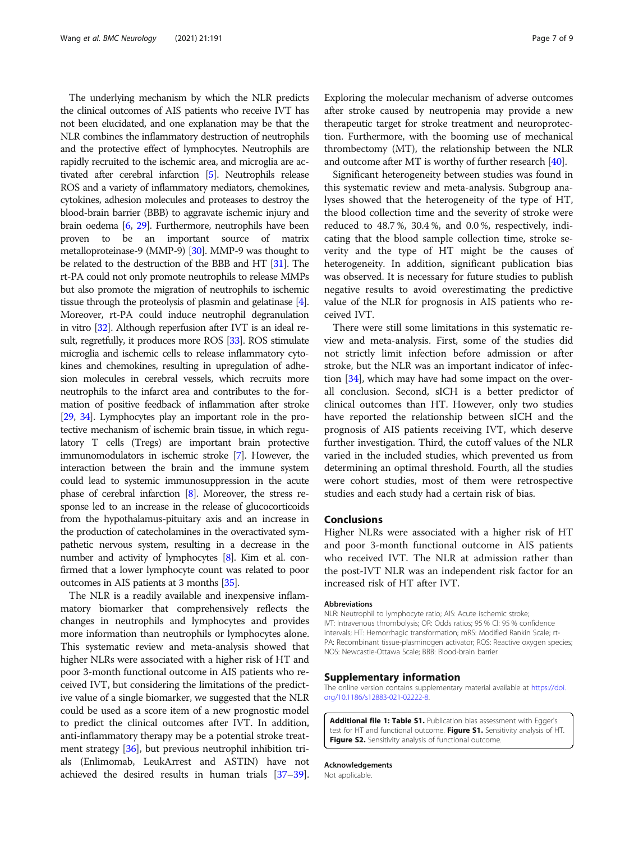<span id="page-6-0"></span>The underlying mechanism by which the NLR predicts the clinical outcomes of AIS patients who receive IVT has not been elucidated, and one explanation may be that the NLR combines the inflammatory destruction of neutrophils and the protective effect of lymphocytes. Neutrophils are rapidly recruited to the ischemic area, and microglia are activated after cerebral infarction [\[5\]](#page-7-0). Neutrophils release ROS and a variety of inflammatory mediators, chemokines, cytokines, adhesion molecules and proteases to destroy the blood-brain barrier (BBB) to aggravate ischemic injury and brain oedema [\[6,](#page-7-0) [29\]](#page-7-0). Furthermore, neutrophils have been proven to be an important source of matrix metalloproteinase-9 (MMP-9) [\[30](#page-7-0)]. MMP-9 was thought to be related to the destruction of the BBB and HT [\[31\]](#page-7-0). The rt-PA could not only promote neutrophils to release MMPs but also promote the migration of neutrophils to ischemic tissue through the proteolysis of plasmin and gelatinase [[4](#page-7-0)]. Moreover, rt-PA could induce neutrophil degranulation in vitro [[32](#page-7-0)]. Although reperfusion after IVT is an ideal result, regretfully, it produces more ROS [[33](#page-7-0)]. ROS stimulate microglia and ischemic cells to release inflammatory cytokines and chemokines, resulting in upregulation of adhesion molecules in cerebral vessels, which recruits more neutrophils to the infarct area and contributes to the formation of positive feedback of inflammation after stroke [[29](#page-7-0), [34\]](#page-7-0). Lymphocytes play an important role in the protective mechanism of ischemic brain tissue, in which regulatory T cells (Tregs) are important brain protective immunomodulators in ischemic stroke [\[7\]](#page-7-0). However, the interaction between the brain and the immune system could lead to systemic immunosuppression in the acute phase of cerebral infarction [[8\]](#page-7-0). Moreover, the stress response led to an increase in the release of glucocorticoids from the hypothalamus-pituitary axis and an increase in the production of catecholamines in the overactivated sympathetic nervous system, resulting in a decrease in the number and activity of lymphocytes [\[8\]](#page-7-0). Kim et al. confirmed that a lower lymphocyte count was related to poor outcomes in AIS patients at 3 months [[35](#page-7-0)].

The NLR is a readily available and inexpensive inflammatory biomarker that comprehensively reflects the changes in neutrophils and lymphocytes and provides more information than neutrophils or lymphocytes alone. This systematic review and meta-analysis showed that higher NLRs were associated with a higher risk of HT and poor 3-month functional outcome in AIS patients who received IVT, but considering the limitations of the predictive value of a single biomarker, we suggested that the NLR could be used as a score item of a new prognostic model to predict the clinical outcomes after IVT. In addition, anti-inflammatory therapy may be a potential stroke treatment strategy [\[36\]](#page-7-0), but previous neutrophil inhibition trials (Enlimomab, LeukArrest and ASTIN) have not achieved the desired results in human trials [\[37](#page-8-0)–[39](#page-8-0)]. Exploring the molecular mechanism of adverse outcomes after stroke caused by neutropenia may provide a new therapeutic target for stroke treatment and neuroprotection. Furthermore, with the booming use of mechanical thrombectomy (MT), the relationship between the NLR and outcome after MT is worthy of further research [\[40\]](#page-8-0).

Significant heterogeneity between studies was found in this systematic review and meta-analysis. Subgroup analyses showed that the heterogeneity of the type of HT, the blood collection time and the severity of stroke were reduced to 48.7 %, 30.4 %, and 0.0 %, respectively, indicating that the blood sample collection time, stroke severity and the type of HT might be the causes of heterogeneity. In addition, significant publication bias was observed. It is necessary for future studies to publish negative results to avoid overestimating the predictive value of the NLR for prognosis in AIS patients who received IVT.

There were still some limitations in this systematic review and meta-analysis. First, some of the studies did not strictly limit infection before admission or after stroke, but the NLR was an important indicator of infection [\[34\]](#page-7-0), which may have had some impact on the overall conclusion. Second, sICH is a better predictor of clinical outcomes than HT. However, only two studies have reported the relationship between sICH and the prognosis of AIS patients receiving IVT, which deserve further investigation. Third, the cutoff values of the NLR varied in the included studies, which prevented us from determining an optimal threshold. Fourth, all the studies were cohort studies, most of them were retrospective studies and each study had a certain risk of bias.

#### Conclusions

Higher NLRs were associated with a higher risk of HT and poor 3-month functional outcome in AIS patients who received IVT. The NLR at admission rather than the post-IVT NLR was an independent risk factor for an increased risk of HT after IVT.

#### Abbreviations

NLR: Neutrophil to lymphocyte ratio; AIS: Acute ischemic stroke; IVT: Intravenous thrombolysis; OR: Odds ratios; 95 % CI: 95 % confidence intervals; HT: Hemorrhagic transformation; mRS: Modified Rankin Scale; rt-PA: Recombinant tissue-plasminogen activator; ROS: Reactive oxygen species; NOS: Newcastle-Ottawa Scale; BBB: Blood-brain barrier

#### Supplementary information

The online version contains supplementary material available at [https://doi.](https://doi.org/10.1186/s12883-021-02222-8) [org/10.1186/s12883-021-02222-8.](https://doi.org/10.1186/s12883-021-02222-8)

Additional file 1: Table S1. Publication bias assessment with Egger's test for HT and functional outcome. Figure S1. Sensitivity analysis of HT. Figure S2. Sensitivity analysis of functional outcome.

#### Acknowledgements

Not applicable.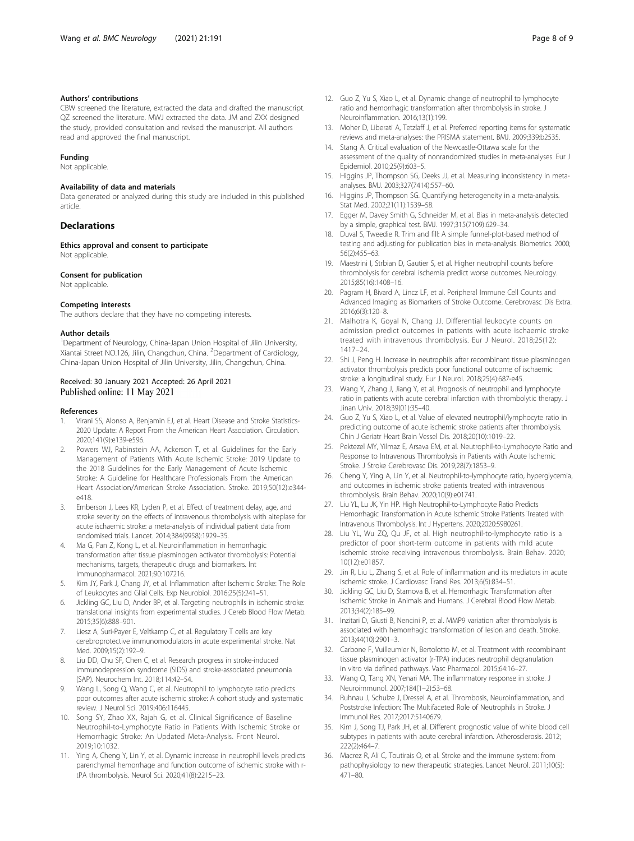#### <span id="page-7-0"></span>Authors' contributions

CBW screened the literature, extracted the data and drafted the manuscript. QZ screened the literature. MWJ extracted the data. JM and ZXX designed the study, provided consultation and revised the manuscript. All authors read and approved the final manuscript.

#### Funding

Not applicable.

#### Availability of data and materials

Data generated or analyzed during this study are included in this published article.

## **Declarations**

Ethics approval and consent to participate Not applicable.

#### Consent for publication

Not applicable.

#### Competing interests

The authors declare that they have no competing interests.

#### Author details

<sup>1</sup>Department of Neurology, China-Japan Union Hospital of Jilin University, Xiantai Street NO.126, Jilin, Changchun, China. <sup>2</sup>Department of Cardiology, China-Japan Union Hospital of Jilin University, Jilin, Changchun, China.

#### Received: 30 January 2021 Accepted: 26 April 2021 Published online: 11 May 2021

#### References

- 1. Virani SS, Alonso A, Benjamin EJ, et al. Heart Disease and Stroke Statistics-2020 Update: A Report From the American Heart Association. Circulation. 2020;141(9):e139-e596.
- 2. Powers WJ, Rabinstein AA, Ackerson T, et al. Guidelines for the Early Management of Patients With Acute Ischemic Stroke: 2019 Update to the 2018 Guidelines for the Early Management of Acute Ischemic Stroke: A Guideline for Healthcare Professionals From the American Heart Association/American Stroke Association. Stroke. 2019;50(12):e344 e418.
- 3. Emberson J, Lees KR, Lyden P, et al. Effect of treatment delay, age, and stroke severity on the effects of intravenous thrombolysis with alteplase for acute ischaemic stroke: a meta-analysis of individual patient data from randomised trials. Lancet. 2014;384(9958):1929–35.
- 4. Ma G, Pan Z, Kong L, et al. Neuroinflammation in hemorrhagic transformation after tissue plasminogen activator thrombolysis: Potential mechanisms, targets, therapeutic drugs and biomarkers. Int Immunopharmacol. 2021;90:107216.
- 5. Kim JY, Park J, Chang JY, et al. Inflammation after Ischemic Stroke: The Role of Leukocytes and Glial Cells. Exp Neurobiol. 2016;25(5):241–51.
- Jickling GC, Liu D, Ander BP, et al. Targeting neutrophils in ischemic stroke: translational insights from experimental studies. J Cereb Blood Flow Metab. 2015;35(6):888–901.
- 7. Liesz A, Suri-Payer E, Veltkamp C, et al. Regulatory T cells are key cerebroprotective immunomodulators in acute experimental stroke. Nat Med. 2009;15(2):192–9.
- Liu DD, Chu SF, Chen C, et al. Research progress in stroke-induced immunodepression syndrome (SIDS) and stroke-associated pneumonia (SAP). Neurochem Int. 2018;114:42–54.
- Wang L, Song Q, Wang C, et al. Neutrophil to lymphocyte ratio predicts poor outcomes after acute ischemic stroke: A cohort study and systematic review. J Neurol Sci. 2019;406:116445.
- 10. Song SY, Zhao XX, Rajah G, et al. Clinical Significance of Baseline Neutrophil-to-Lymphocyte Ratio in Patients With Ischemic Stroke or Hemorrhagic Stroke: An Updated Meta-Analysis. Front Neurol. 2019;10:1032.
- 11. Ying A, Cheng Y, Lin Y, et al. Dynamic increase in neutrophil levels predicts parenchymal hemorrhage and function outcome of ischemic stroke with rtPA thrombolysis. Neurol Sci. 2020;41(8):2215–23.
- 12. Guo Z, Yu S, Xiao L, et al. Dynamic change of neutrophil to lymphocyte ratio and hemorrhagic transformation after thrombolysis in stroke. J Neuroinflammation. 2016;13(1):199.
- 13. Moher D, Liberati A, Tetzlaff J, et al. Preferred reporting items for systematic reviews and meta-analyses: the PRISMA statement. BMJ. 2009;339:b2535.
- 14. Stang A. Critical evaluation of the Newcastle-Ottawa scale for the assessment of the quality of nonrandomized studies in meta-analyses. Eur J Epidemiol. 2010;25(9):603–5.
- 15. Higgins JP, Thompson SG, Deeks JJ, et al. Measuring inconsistency in metaanalyses. BMJ. 2003;327(7414):557–60.
- 16. Higgins JP, Thompson SG. Quantifying heterogeneity in a meta-analysis. Stat Med. 2002;21(11):1539–58.
- 17. Egger M, Davey Smith G, Schneider M, et al. Bias in meta-analysis detected by a simple, graphical test. BMJ. 1997;315(7109):629–34.
- 18. Duval S, Tweedie R. Trim and fill: A simple funnel-plot-based method of testing and adjusting for publication bias in meta-analysis. Biometrics. 2000; 56(2):455–63.
- 19. Maestrini I, Strbian D, Gautier S, et al. Higher neutrophil counts before thrombolysis for cerebral ischemia predict worse outcomes. Neurology. 2015;85(16):1408–16.
- 20. Pagram H, Bivard A, Lincz LF, et al. Peripheral Immune Cell Counts and Advanced Imaging as Biomarkers of Stroke Outcome. Cerebrovasc Dis Extra. 2016;6(3):120–8.
- 21. Malhotra K, Goyal N, Chang JJ. Differential leukocyte counts on admission predict outcomes in patients with acute ischaemic stroke treated with intravenous thrombolysis. Eur J Neurol. 2018;25(12): 1417–24.
- 22. Shi J, Peng H. Increase in neutrophils after recombinant tissue plasminogen activator thrombolysis predicts poor functional outcome of ischaemic stroke: a longitudinal study. Eur J Neurol. 2018;25(4):687-e45.
- 23. Wang Y, Zhang J, Jiang Y, et al. Prognosis of neutrophil and lymphocyte ratio in patients with acute cerebral infarction with thrombolytic therapy. J Jinan Univ. 2018;39(01):35–40.
- 24. Guo Z, Yu S, Xiao L, et al. Value of elevated neutrophil/lymphocyte ratio in predicting outcome of acute ischemic stroke patients after thrombolysis. Chin J Geriatr Heart Brain Vessel Dis. 2018;20(10):1019–22.
- 25. Pektezel MY, Yilmaz E, Arsava EM, et al. Neutrophil-to-Lymphocyte Ratio and Response to Intravenous Thrombolysis in Patients with Acute Ischemic Stroke. J Stroke Cerebrovasc Dis. 2019;28(7):1853–9.
- 26. Cheng Y, Ying A, Lin Y, et al. Neutrophil-to-lymphocyte ratio, hyperglycemia, and outcomes in ischemic stroke patients treated with intravenous thrombolysis. Brain Behav. 2020;10(9):e01741.
- 27. Liu YL, Lu JK, Yin HP. High Neutrophil-to-Lymphocyte Ratio Predicts Hemorrhagic Transformation in Acute Ischemic Stroke Patients Treated with Intravenous Thrombolysis. Int J Hypertens. 2020;2020:5980261.
- 28. Liu YL, Wu ZQ, Qu JF, et al. High neutrophil-to-lymphocyte ratio is a predictor of poor short-term outcome in patients with mild acute ischemic stroke receiving intravenous thrombolysis. Brain Behav. 2020; 10(12):e01857.
- 29. Jin R, Liu L, Zhang S, et al. Role of inflammation and its mediators in acute ischemic stroke. J Cardiovasc Transl Res. 2013;6(5):834–51.
- 30. Jickling GC, Liu D, Stamova B, et al. Hemorrhagic Transformation after Ischemic Stroke in Animals and Humans. J Cerebral Blood Flow Metab. 2013;34(2):185–99.
- 31. Inzitari D, Giusti B, Nencini P, et al. MMP9 variation after thrombolysis is associated with hemorrhagic transformation of lesion and death. Stroke. 2013;44(10):2901–3.
- 32. Carbone F, Vuilleumier N, Bertolotto M, et al. Treatment with recombinant tissue plasminogen activator (r-TPA) induces neutrophil degranulation in vitro via defined pathways. Vasc Pharmacol. 2015;64:16–27.
- 33. Wang Q, Tang XN, Yenari MA. The inflammatory response in stroke. J Neuroimmunol. 2007;184(1–2):53–68.
- 34. Ruhnau J, Schulze J, Dressel A, et al. Thrombosis, Neuroinflammation, and Poststroke Infection: The Multifaceted Role of Neutrophils in Stroke. J Immunol Res. 2017;2017:5140679.
- 35. Kim J, Song TJ, Park JH, et al. Different prognostic value of white blood cell subtypes in patients with acute cerebral infarction. Atherosclerosis. 2012; 222(2):464–7.
- 36. Macrez R, Ali C, Toutirais O, et al. Stroke and the immune system: from pathophysiology to new therapeutic strategies. Lancet Neurol. 2011;10(5): 471–80.